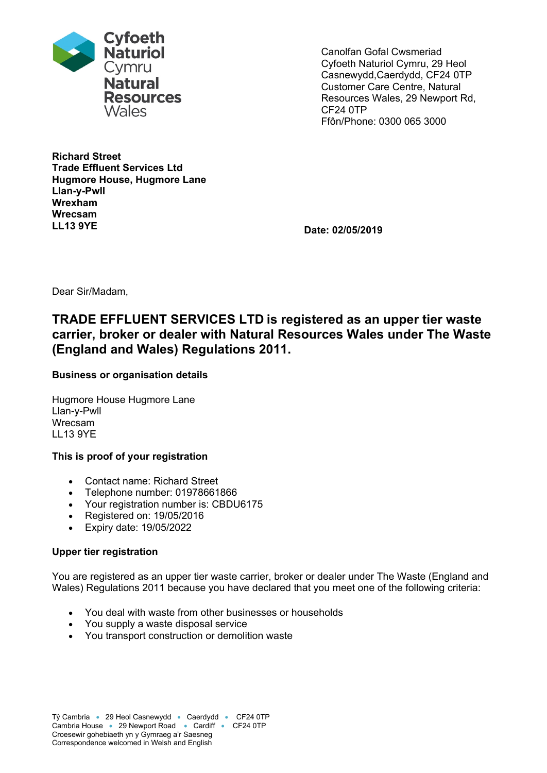

Canolfan Gofal Cwsmeriad Cyfoeth Naturiol Cymru, 29 Heol Casnewydd,Caerdydd, CF24 0TP Customer Care Centre, Natural Resources Wales, 29 Newport Rd, CF24 0TP Ffôn/Phone: 0300 065 3000

**Richard Street Trade Effluent Services Ltd Hugmore House, Hugmore Lane Llan-y-Pwll Wrexham Wrecsam LL13 9YE Date: 02/05/2019**

Dear Sir/Madam,

# **TRADE EFFLUENT SERVICES LTD is registered as an upper tier waste carrier, broker or dealer with Natural Resources Wales under The Waste (England and Wales) Regulations 2011.**

## **Business or organisation details**

Hugmore House Hugmore Lane Llan-y-Pwll Wrecsam LL13 9YE

### **This is proof of your registration**

- Contact name: Richard Street
- Telephone number: 01978661866
- Your registration number is: CBDU6175
- Registered on: 19/05/2016
- Expiry date: 19/05/2022

## **Upper tier registration**

You are registered as an upper tier waste carrier, broker or dealer under The Waste (England and Wales) Regulations 2011 because you have declared that you meet one of the following criteria:

- You deal with waste from other businesses or households
- You supply a waste disposal service
- You transport construction or demolition waste